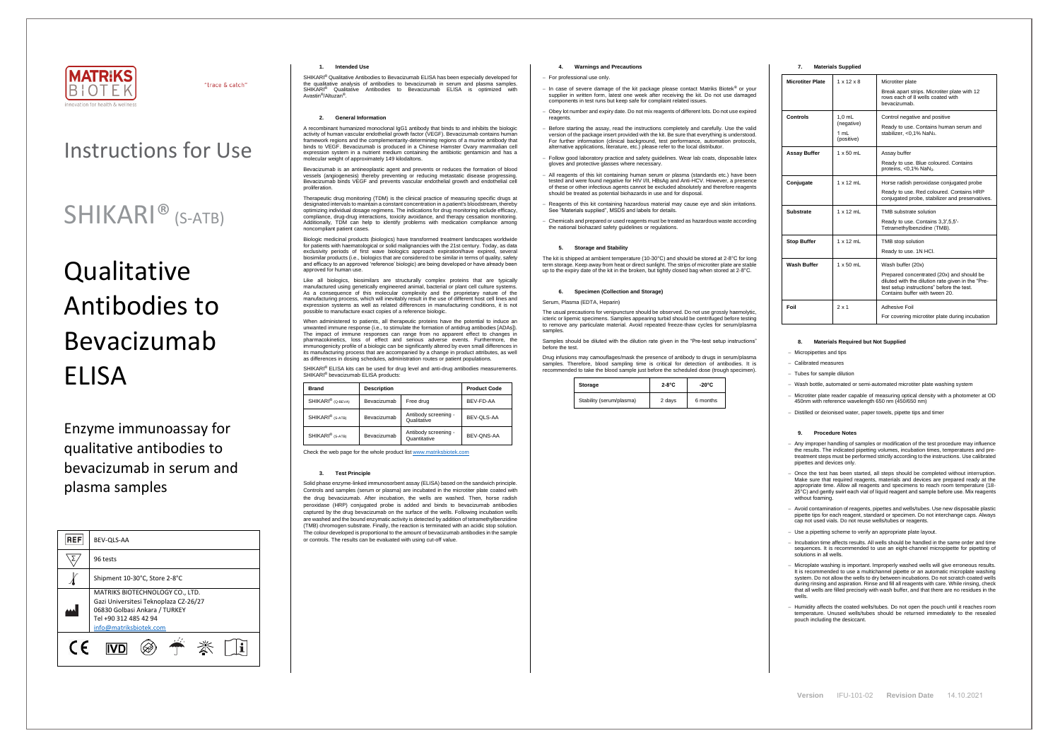

"trace & catch"

**Version** IFU-101-02 **Revision Date** 14.10.2021

## Instructions for Use

# **Qualitative** Antibodies to Bevacizumab ELISA

## SHIKARI® (S-ATB)

Enzyme immunoassay for qualitative antibodies to bevacizumab in serum and plasma samples

| <b>REF</b> | BEV-QLS-AA                                                                                                                                                   |  |  |
|------------|--------------------------------------------------------------------------------------------------------------------------------------------------------------|--|--|
|            | 96 tests                                                                                                                                                     |  |  |
|            | Shipment 10-30°C, Store 2-8°C                                                                                                                                |  |  |
|            | MATRIKS BIOTECHNOLOGY CO., LTD.<br>Gazi Universitesi Teknoplaza CZ-26/27<br>06830 Golbasi Ankara / TURKEY<br>Tel +90 312 485 42 94<br>info@matriksbiotek.com |  |  |
| C E        |                                                                                                                                                              |  |  |

## **1. Intended Use**

SHIKARI® Qualitative Antibodies to Bevacizumab ELISA has been especially developed for the qualitative analysis of antibodies to bevacizumab in serum and plasma samples. SHIKARI<sup>®</sup> Qualitative Antibodies to Bevacizumab ELISA is optimized with Avastin® /Altuzan®

### **2. General Information**

A recombinant humanized monoclonal IgG1 antibody that binds to and inhibits the biologic activity of human vascular endothelial growth factor (VEGF). Bevacizumab contains human framework regions and the complementarity-determining regions of a murine antibody that binds to VEGF. Bevacizumab is produced in a Chinese Hamster Ovary mammalian cell expression system in a nutrient medium containing the antibiotic gentamicin and has a molecular weight of approximately 149 kilodaltons.

Bevacizumab is an antineoplastic agent and prevents or reduces the formation of blood vessels (angiogenesis) thereby preventing or reducing metastatic disease progressing. Bevacizumab binds VEGF and prevents vascular endothelial growth and endothelial cell proliferation.

Therapeutic drug monitoring (TDM) is the clinical practice of measuring specific drugs at designated intervals to maintain a constant concentration in a patient's bloodstream, thereby optimizing individual dosage regimens. The indications for drug monitoring include efficacy, compliance, drug-drug interactions, toxicity avoidance, and therapy cessation monitoring. Additionally, TDM can help to identify problems with medication compliance among noncompliant patient cases.

When administered to patients, all therapeutic proteins have the potential to induce an unwanted immune response (i.e., to stimulate the formation of antidrug antibodies [ADAs]). The impact of immune responses can range from no apparent effect to changes in pharmacokinetics, loss of effect and serious adverse events. Furthermore, the immunogenicity profile of a biologic can be significantly altered by even small differences in its manufacturing process that are accompanied by a change in product attributes, as well as differences in dosing schedules, administration routes or patient populations.

SHIKARI<sup>®</sup> ELISA kits can be used for drug level and anti-drug antibodies measurements. SHIKARI<sup>®</sup> bevacizumab ELISA products:

Biologic medicinal products (biologics) have transformed treatment landscapes worldwide for patients with haematological or solid malignancies with the 21st century. Today, as data exclusivity periods of first wave biologics approach expiration/have expired, several biosimilar products (i.e., biologics that are considered to be similar in terms of quality, safety and efficacy to an approved 'reference' biologic) are being developed or have already been approved for human use.

Like all biologics, biosimilars are structurally complex proteins that are typically manufactured using genetically engineered animal, bacterial or plant cell culture systems. As a consequence of this molecular complexity and the proprietary nature of the manufacturing process, which will inevitably result in the use of different host cell lines and expression systems as well as related differences in manufacturing conditions, it is not possible to manufacture exact copies of a reference biologic.

The usual precautions for venipuncture should be observed. Do not use grossly haemolytic, icteric or lipemic specimens. Samples appearing turbid should be centrifuged before testing to remove any particulate material. Avoid repeated freeze-thaw cycles for serum/plasma samples

| <b>Brand</b>                                | <b>Description</b> |                                      | <b>Product Code</b> |
|---------------------------------------------|--------------------|--------------------------------------|---------------------|
| SHIKARI <sup>®</sup> (Q-BEVA)               | Bevacizumab        | Free drug                            | BEV-FD-AA           |
| SHIKARI <sup>®</sup> (S-ATB)<br>Bevacizumab |                    | Antibody screening -<br>Qualitative  | BEV-OLS-AA          |
| SHIKARI <sup>®</sup> (S-ATB)                | Bevacizumab        | Antibody screening -<br>Quantitative | BEV-ONS-AA          |

Check the web page for the whole product lis[t www.matriksbiotek.com](http://www.matriksbiotek.com/)

#### **3. Test Principle**

Solid phase enzyme-linked immunosorbent assay (ELISA) based on the sandwich principle. Controls and samples (serum or plasma) are incubated in the microtiter plate coated with the drug bevacizumab. After incubation, the wells are washed. Then, horse radish peroxidase (HRP) conjugated probe is added and binds to bevacizumab antibodies captured by the drug bevacizumab on the surface of the wells. Following incubation wells are washed and the bound enzymatic activity is detected by addition of tetramethylbenzidine (TMB) chromogen substrate. Finally, the reaction is terminated with an acidic stop solution. The colour developed is proportional to the amount of bevacizumab antibodies in the sample or controls. The results can be evaluated with using cut-off value.

- Once the test has been started, all steps should be completed without interruption.<br>Make sure that required reagents, materials and devices are prepared ready at the<br>appropriate time. Allow all reagents and specimens to 25°C) and gently swirl each vial of liquid reagent and sample before use. Mix reagents without foaming.

### **4. Warnings and Precautions**

#### − For professional use only.

- − In case of severe damage of the kit package please contact Matriks Biotek® or your supplier in written form, latest one week after receiving the kit. Do not use damaged components in test runs but keep safe for complaint related issues.
- − Obey lot number and expiry date. Do not mix reagents of different lots. Do not use expired reagents
- Before starting the assay, read the instructions completely and carefully. Use the valid version of the package insert provided with the kit. Be sure that everything is understood. For further information (clinical background, test performance, automation protocols, alternative applications, literature, etc.) please refer to the local distributor.
- Follow good laboratory practice and safety guidelines. Wear lab coats, disposable latex gloves and protective glasses where necessary.
- − All reagents of this kit containing human serum or plasma (standards etc.) have been tested and were found negative for HIV I/II, HBsAg and Anti-HCV. However, a presence of these or other infectious agents cannot be excluded absolutely and therefore reagents should be treated as potential biohazards in use and for disposal.
- − Reagents of this kit containing hazardous material may cause eye and skin irritations. See "Materials supplied", MSDS and labels for details.
- − Chemicals and prepared or used reagents must be treated as hazardous waste according the national biohazard safety guidelines or regulations.

## **5. Storage and Stability**

The kit is shipped at ambient temperature (10-30°C) and should be stored at 2-8°C for long term storage. Keep away from heat or direct sunlight. The strips of microtiter plate are stable up to the expiry date of the kit in the broken, but tightly closed bag when stored at 2-8°C.

#### **6. Specimen (Collection and Storage)**

### Serum, Plasma (EDTA, Heparin)

Samples should be diluted with the dilution rate given in the "Pre-test setup instructions" before the test.

Drug infusions may camouflages/mask the presence of antibody to drugs in serum/plasma samples. Therefore, blood sampling time is critical for detection of antibodies. It is recommended to take the blood sample just before the scheduled dose (trough specimen).

| Storage                  | $2-8^{\circ}C$ | -20°C    |
|--------------------------|----------------|----------|
| Stability (serum/plasma) | 2 days         | 6 months |

## **7. Materials Supplied**

| <b>Microtiter Plate</b> | $1 \times 12 \times 8$                       | Microtiter plate<br>Break apart strips. Microtiter plate with 12<br>rows each of 8 wells coated with<br>hevacizumah                                                                                |
|-------------------------|----------------------------------------------|----------------------------------------------------------------------------------------------------------------------------------------------------------------------------------------------------|
| Controls                | $1.0$ mL<br>(negative)<br>1 mL<br>(positive) | Control negative and positive<br>Ready to use. Contains human serum and<br>stabilizer, <0,1% NaN <sub>3</sub> .                                                                                    |
| <b>Assay Buffer</b>     | $1 \times 50$ mL                             | Assay buffer<br>Ready to use. Blue coloured. Contains<br>proteins, <0,1% NaN <sub>3</sub> .                                                                                                        |
| Conjugate               | $1 \times 12$ mL                             | Horse radish peroxidase conjugated probe<br>Ready to use. Red coloured. Contains HRP<br>conjugated probe, stabilizer and preservatives.                                                            |
| Substrate               | $1 \times 12$ mL                             | TMB substrate solution<br>Ready to use. Contains 3,3',5,5'-<br>Tetramethylbenzidine (TMB).                                                                                                         |
| <b>Stop Buffer</b>      | $1 \times 12$ mL                             | TMB stop solution<br>Ready to use. 1N HCl.                                                                                                                                                         |
| Wash Buffer             | $1 \times 50$ mL                             | Wash buffer (20x)<br>Prepared concentrated (20x) and should be<br>diluted with the dilution rate given in the "Pre-<br>test setup instructions" before the test.<br>Contains buffer with tween 20. |
| Foil                    | $2 \times 1$                                 | Adhesive Foil<br>For covering microtiter plate during incubation                                                                                                                                   |

## **8. Materials Required but Not Supplied**

− Micropipettes and tips

− Calibrated measures

− Tubes for sample dilution

Wash bottle, automated or semi-automated microtiter plate washing system

− Microtiter plate reader capable of measuring optical density with a photometer at OD 450nm with reference wavelength 650 nm (450/650 nm)

− Distilled or deionised water, paper towels, pipette tips and timer

### **9. Procedure Notes**

− Any improper handling of samples or modification of the test procedure may influence the results. The indicated pipetting volumes, incubation times, temperatures and pretreatment steps must be performed strictly according to the instructions. Use calibrated pipettes and devices only.

− Avoid contamination of reagents, pipettes and wells/tubes. Use new disposable plastic pipette tips for each reagent, standard or specimen. Do not interchange caps. Always cap not used vials. Do not reuse wells/tubes or reagents.

− Use a pipetting scheme to verify an appropriate plate layout.

− Incubation time affects results. All wells should be handled in the same order and time sequences. It is recommended to use an eight-channel micropipette for pipetting of solutions in all wells.

− Microplate washing is important. Improperly washed wells will give erroneous results. It is recommended to use a multichannel pipette or an automatic microplate washing system. Do not allow the wells to dry between incubations. Do not scratch coated wells during rinsing and aspiration. Rinse and fill all reagents with care. While rinsing, check that all wells are filled precisely with wash buffer, and that there are no residues in the wells.

− Humidity affects the coated wells/tubes. Do not open the pouch until it reaches room temperature. Unused wells/tubes should be returned immediately to the resealed pouch including the desiccant.